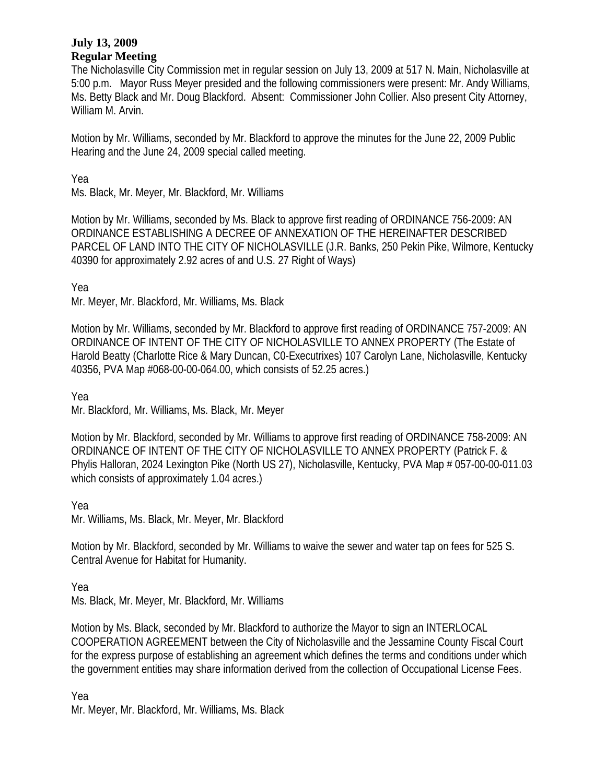## **July 13, 2009 Regular Meeting**

The Nicholasville City Commission met in regular session on July 13, 2009 at 517 N. Main, Nicholasville at 5:00 p.m. Mayor Russ Meyer presided and the following commissioners were present: Mr. Andy Williams, Ms. Betty Black and Mr. Doug Blackford. Absent: Commissioner John Collier. Also present City Attorney, William M. Arvin.

Motion by Mr. Williams, seconded by Mr. Blackford to approve the minutes for the June 22, 2009 Public Hearing and the June 24, 2009 special called meeting.

Yea

Ms. Black, Mr. Meyer, Mr. Blackford, Mr. Williams

Motion by Mr. Williams, seconded by Ms. Black to approve first reading of ORDINANCE 756-2009: AN ORDINANCE ESTABLISHING A DECREE OF ANNEXATION OF THE HEREINAFTER DESCRIBED PARCEL OF LAND INTO THE CITY OF NICHOLASVILLE (J.R. Banks, 250 Pekin Pike, Wilmore, Kentucky 40390 for approximately 2.92 acres of and U.S. 27 Right of Ways)

Yea

Mr. Meyer, Mr. Blackford, Mr. Williams, Ms. Black

Motion by Mr. Williams, seconded by Mr. Blackford to approve first reading of ORDINANCE 757-2009: AN ORDINANCE OF INTENT OF THE CITY OF NICHOLASVILLE TO ANNEX PROPERTY (The Estate of Harold Beatty (Charlotte Rice & Mary Duncan, C0-Executrixes) 107 Carolyn Lane, Nicholasville, Kentucky 40356, PVA Map #068-00-00-064.00, which consists of 52.25 acres.)

Yea

Mr. Blackford, Mr. Williams, Ms. Black, Mr. Meyer

Motion by Mr. Blackford, seconded by Mr. Williams to approve first reading of ORDINANCE 758-2009: AN ORDINANCE OF INTENT OF THE CITY OF NICHOLASVILLE TO ANNEX PROPERTY (Patrick F. & Phylis Halloran, 2024 Lexington Pike (North US 27), Nicholasville, Kentucky, PVA Map # 057-00-00-011.03 which consists of approximately 1.04 acres.)

Yea

Mr. Williams, Ms. Black, Mr. Meyer, Mr. Blackford

Motion by Mr. Blackford, seconded by Mr. Williams to waive the sewer and water tap on fees for 525 S. Central Avenue for Habitat for Humanity.

Yea

Ms. Black, Mr. Meyer, Mr. Blackford, Mr. Williams

Motion by Ms. Black, seconded by Mr. Blackford to authorize the Mayor to sign an INTERLOCAL COOPERATION AGREEMENT between the City of Nicholasville and the Jessamine County Fiscal Court for the express purpose of establishing an agreement which defines the terms and conditions under which the government entities may share information derived from the collection of Occupational License Fees.

Yea

Mr. Meyer, Mr. Blackford, Mr. Williams, Ms. Black